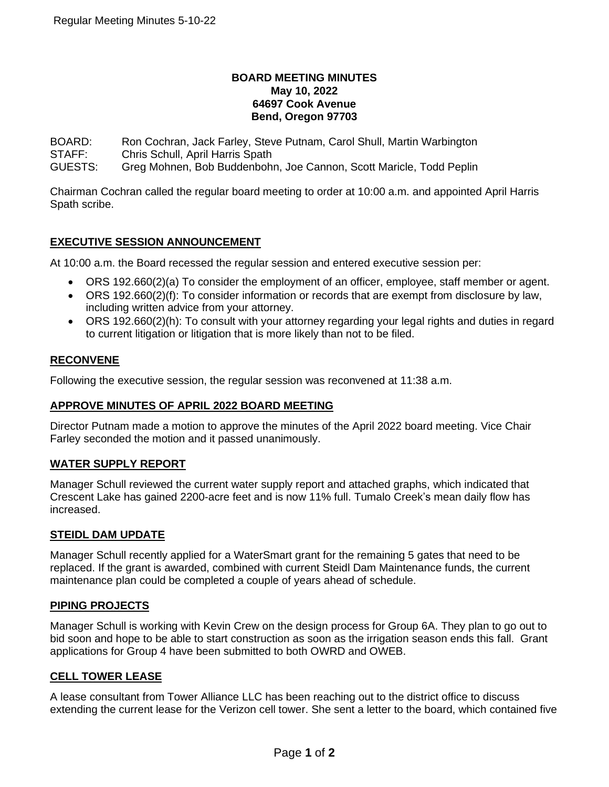#### **BOARD MEETING MINUTES May 10, 2022 64697 Cook Avenue Bend, Oregon 97703**

BOARD: Ron Cochran, Jack Farley, Steve Putnam, Carol Shull, Martin Warbington

STAFF: Chris Schull, April Harris Spath

GUESTS: Greg Mohnen, Bob Buddenbohn, Joe Cannon, Scott Maricle, Todd Peplin

Chairman Cochran called the regular board meeting to order at 10:00 a.m. and appointed April Harris Spath scribe.

# **EXECUTIVE SESSION ANNOUNCEMENT**

At 10:00 a.m. the Board recessed the regular session and entered executive session per:

- ORS 192.660(2)(a) To consider the employment of an officer, employee, staff member or agent.
- ORS 192.660(2)(f): To consider information or records that are exempt from disclosure by law, including written advice from your attorney.
- ORS 192.660(2)(h): To consult with your attorney regarding your legal rights and duties in regard to current litigation or litigation that is more likely than not to be filed.

# **RECONVENE**

Following the executive session, the regular session was reconvened at 11:38 a.m.

### **APPROVE MINUTES OF APRIL 2022 BOARD MEETING**

Director Putnam made a motion to approve the minutes of the April 2022 board meeting. Vice Chair Farley seconded the motion and it passed unanimously.

### **WATER SUPPLY REPORT**

Manager Schull reviewed the current water supply report and attached graphs, which indicated that Crescent Lake has gained 2200-acre feet and is now 11% full. Tumalo Creek's mean daily flow has increased.

### **STEIDL DAM UPDATE**

Manager Schull recently applied for a WaterSmart grant for the remaining 5 gates that need to be replaced. If the grant is awarded, combined with current Steidl Dam Maintenance funds, the current maintenance plan could be completed a couple of years ahead of schedule.

### **PIPING PROJECTS**

Manager Schull is working with Kevin Crew on the design process for Group 6A. They plan to go out to bid soon and hope to be able to start construction as soon as the irrigation season ends this fall. Grant applications for Group 4 have been submitted to both OWRD and OWEB.

### **CELL TOWER LEASE**

A lease consultant from Tower Alliance LLC has been reaching out to the district office to discuss extending the current lease for the Verizon cell tower. She sent a letter to the board, which contained five